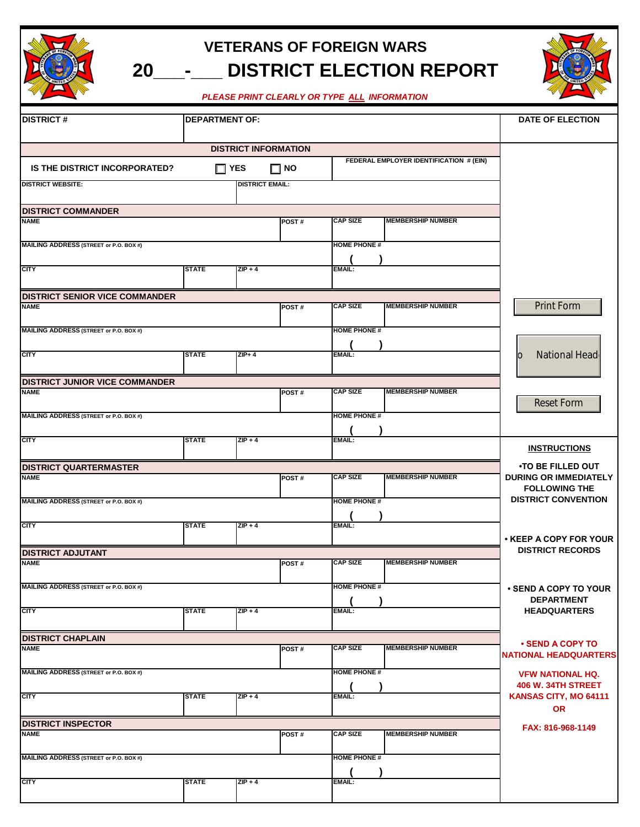

## **20\_\_\_-\_\_\_ DISTRICT ELECTION REPORT VETERANS OF FOREIGN WARS**

*PLEASE PRINT CLEARLY OR TYPE ALL INFORMATION*

| <b>DISTRICT#</b>                        | <b>DEPARTMENT OF:</b>     |                             |              |                     |                                         | DATE OF ELECTION                                                |
|-----------------------------------------|---------------------------|-----------------------------|--------------|---------------------|-----------------------------------------|-----------------------------------------------------------------|
|                                         |                           |                             |              |                     |                                         |                                                                 |
|                                         |                           | <b>DISTRICT INFORMATION</b> |              |                     | FEDERAL EMPLOYER IDENTIFICATION # (EIN) |                                                                 |
| <b>IS THE DISTRICT INCORPORATED?</b>    |                           | $\Box$ YES                  | $\square$ NO |                     |                                         |                                                                 |
| <b>DISTRICT WEBSITE:</b>                |                           | <b>DISTRICT EMAIL:</b>      |              |                     |                                         |                                                                 |
| <b>DISTRICT COMMANDER</b>               |                           |                             |              |                     |                                         |                                                                 |
| <b>NAME</b>                             |                           |                             | POST#        | <b>CAP SIZE</b>     | <b>MEMBERSHIP NUMBER</b>                |                                                                 |
| MAILING ADDRESS (STREET or P.O. BOX #)  |                           |                             |              | <b>HOME PHONE#</b>  |                                         |                                                                 |
| <b>CITY</b>                             | <b>STATE</b>              | $ZIP + 4$                   |              | EMAIL:              |                                         |                                                                 |
| <b>DISTRICT SENIOR VICE COMMANDER</b>   |                           |                             |              |                     |                                         |                                                                 |
| <b>NAME</b>                             |                           |                             | POST#        | <b>CAP SIZE</b>     | <b>MEMBERSHIP NUMBER</b>                | <b>Print Form</b>                                               |
| MAILING ADDRESS (STREET or P.O. BOX #)  |                           |                             |              | <b>HOME PHONE#</b>  |                                         |                                                                 |
| <b>CITY</b>                             | <b>STATE</b>              | $ZIP + 4$                   |              | <b>EMAIL:</b>       |                                         | National Head<br>IО                                             |
| <b>DISTRICT JUNIOR VICE COMMANDER</b>   |                           |                             |              |                     |                                         |                                                                 |
| <b>NAME</b>                             |                           |                             | POST#        | <b>CAP SIZE</b>     | <b>MEMBERSHIP NUMBER</b>                | <b>Reset Form</b>                                               |
| MAILING ADDRESS (STREET or P.O. BOX #)  |                           |                             |              | <b>HOME PHONE#</b>  |                                         |                                                                 |
| <b>CITY</b>                             | <b>STATE</b>              | $ZIP + 4$                   |              | <b>EMAIL:</b>       |                                         |                                                                 |
|                                         |                           |                             |              |                     |                                         | <b>INSTRUCTIONS</b>                                             |
| <b>DISTRICT QUARTERMASTER</b>           |                           |                             |              |                     |                                         | <b>•TO BE FILLED OUT</b>                                        |
| <b>NAME</b>                             |                           |                             | POST#        | <b>CAP SIZE</b>     | <b>MEMBERSHIP NUMBER</b>                | <b>DURING OR IMMEDIATELY</b><br><b>FOLLOWING THE</b>            |
| MAILING ADDRESS (STREET or P.O. BOX #)  |                           |                             |              | <b>HOME PHONE#</b>  |                                         | <b>DISTRICT CONVENTION</b>                                      |
| <b>CITY</b>                             | <b>STATE</b>              | $ZIP + 4$                   |              | EMAIL:              |                                         |                                                                 |
|                                         |                           |                             |              |                     |                                         | • KEEP A COPY FOR YOUR<br><b>DISTRICT RECORDS</b>               |
| <b>DISTRICT ADJUTANT</b><br><b>NAME</b> |                           |                             | POST#        | <b>CAP SIZE</b>     | <b>MEMBERSHIP NUMBER</b>                |                                                                 |
|                                         |                           |                             |              |                     |                                         |                                                                 |
| MAILING ADDRESS (STREET or P.O. BOX #)  |                           |                             |              | <b>HOME PHONE #</b> |                                         | ⋅ SEND A COPY TO YOUR<br><b>DEPARTMENT</b>                      |
| <b>CITY</b>                             | <b>STATE</b>              | $ZIP + 4$                   |              | EMAIL:              |                                         | <b>HEADQUARTERS</b>                                             |
| <b>DISTRICT CHAPLAIN</b>                |                           |                             |              |                     |                                         |                                                                 |
| <b>NAME</b>                             |                           |                             | POST#        | <b>CAP SIZE</b>     | <b>MEMBERSHIP NUMBER</b>                | <b>• SEND A COPY TO</b><br><b>NATIONAL HEADQUARTERS</b>         |
| MAILING ADDRESS (STREET or P.O. BOX #)  |                           |                             |              | <b>HOME PHONE #</b> |                                         | <b>VFW NATIONAL HQ.</b>                                         |
| <b>CITY</b>                             | <b>STATE</b><br>$ZIP + 4$ |                             |              | EMAIL:              |                                         | <b>406 W. 34TH STREET</b><br>KANSAS CITY, MO 64111<br><b>OR</b> |
| <b>DISTRICT INSPECTOR</b>               |                           |                             |              |                     |                                         | FAX: 816-968-1149                                               |
| <b>NAME</b>                             |                           |                             | POST#        | <b>CAP SIZE</b>     | <b>MEMBERSHIP NUMBER</b>                |                                                                 |
| MAILING ADDRESS (STREET or P.O. BOX #)  |                           |                             |              | <b>HOME PHONE#</b>  |                                         |                                                                 |
| <b>CITY</b>                             | <b>STATE</b>              | $ZIP + 4$                   |              | <b>EMAIL:</b>       |                                         |                                                                 |
|                                         |                           |                             |              |                     |                                         |                                                                 |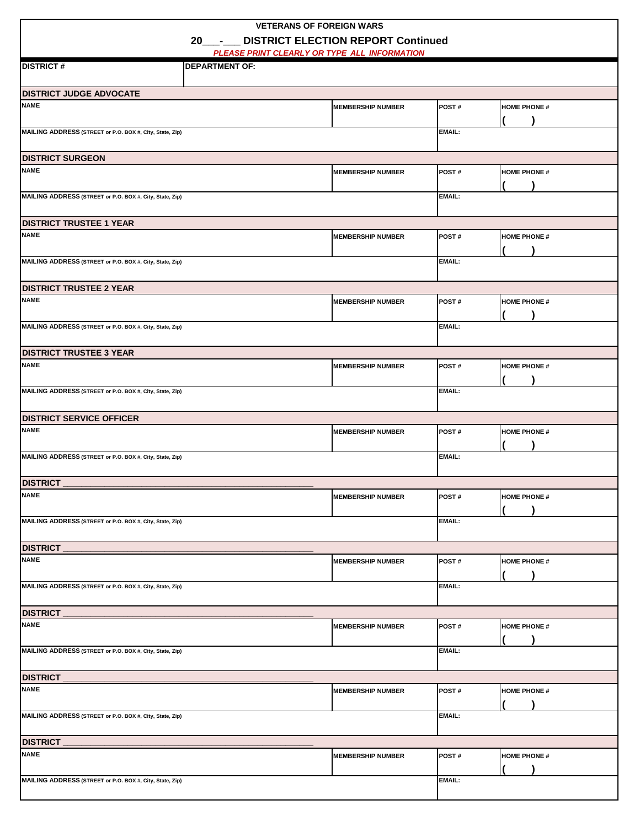| <b>VETERANS OF FOREIGN WARS</b>                          |                                                                       |                          |               |                     |  |  |
|----------------------------------------------------------|-----------------------------------------------------------------------|--------------------------|---------------|---------------------|--|--|
| <b>DISTRICT ELECTION REPORT Continued</b><br>$20 -$      |                                                                       |                          |               |                     |  |  |
| <b>DISTRICT#</b>                                         | PLEASE PRINT CLEARLY OR TYPE ALL INFORMATION<br><b>DEPARTMENT OF:</b> |                          |               |                     |  |  |
|                                                          |                                                                       |                          |               |                     |  |  |
| <b>DISTRICT JUDGE ADVOCATE</b>                           |                                                                       |                          |               |                     |  |  |
| <b>NAME</b>                                              |                                                                       | <b>MEMBERSHIP NUMBER</b> | POST#         | <b>HOME PHONE #</b> |  |  |
| MAILING ADDRESS (STREET or P.O. BOX #, City, State, Zip) |                                                                       |                          | <b>EMAIL:</b> |                     |  |  |
| <b>DISTRICT SURGEON</b>                                  |                                                                       |                          |               |                     |  |  |
| <b>NAME</b>                                              |                                                                       | <b>MEMBERSHIP NUMBER</b> | POST#         | <b>HOME PHONE #</b> |  |  |
| MAILING ADDRESS (STREET or P.O. BOX #, City, State, Zip) |                                                                       |                          | <b>EMAIL:</b> |                     |  |  |
| <b>DISTRICT TRUSTEE 1 YEAR</b>                           |                                                                       |                          |               |                     |  |  |
| <b>NAME</b>                                              |                                                                       | <b>MEMBERSHIP NUMBER</b> | POST#         | <b>HOME PHONE #</b> |  |  |
| MAILING ADDRESS (STREET or P.O. BOX #, City, State, Zip) |                                                                       |                          | <b>EMAIL:</b> |                     |  |  |
| <b>DISTRICT TRUSTEE 2 YEAR</b>                           |                                                                       |                          |               |                     |  |  |
| <b>NAME</b>                                              |                                                                       | <b>MEMBERSHIP NUMBER</b> | POST#         | <b>HOME PHONE #</b> |  |  |
| MAILING ADDRESS (STREET or P.O. BOX #, City, State, Zip) |                                                                       |                          | <b>EMAIL:</b> |                     |  |  |
| <b>DISTRICT TRUSTEE 3 YEAR</b>                           |                                                                       |                          |               |                     |  |  |
| <b>NAME</b>                                              |                                                                       | <b>MEMBERSHIP NUMBER</b> | POST#         | <b>HOME PHONE #</b> |  |  |
| MAILING ADDRESS (STREET or P.O. BOX #, City, State, Zip) |                                                                       |                          | <b>EMAIL:</b> |                     |  |  |
| <b>DISTRICT SERVICE OFFICER</b>                          |                                                                       |                          |               |                     |  |  |
| <b>NAME</b>                                              |                                                                       | <b>MEMBERSHIP NUMBER</b> | POST#         | <b>HOME PHONE #</b> |  |  |
| MAILING ADDRESS (STREET or P.O. BOX #, City, State, Zip) |                                                                       |                          | <b>EMAIL:</b> |                     |  |  |
| <b>DISTRICT</b>                                          |                                                                       |                          |               |                     |  |  |
| <b>NAME</b>                                              |                                                                       | <b>MEMBERSHIP NUMBER</b> | POST#         | <b>HOME PHONE #</b> |  |  |
| MAILING ADDRESS (STREET or P.O. BOX #, City, State, Zip) |                                                                       |                          | <b>EMAIL:</b> |                     |  |  |
| <b>DISTRICT</b>                                          |                                                                       |                          |               |                     |  |  |
| <b>NAME</b>                                              |                                                                       | <b>MEMBERSHIP NUMBER</b> | POST#         | <b>HOME PHONE #</b> |  |  |
| MAILING ADDRESS (STREET or P.O. BOX #, City, State, Zip) |                                                                       |                          | EMAIL:        |                     |  |  |
| <b>DISTRICT</b>                                          |                                                                       |                          |               |                     |  |  |
| <b>NAME</b>                                              |                                                                       | <b>MEMBERSHIP NUMBER</b> | POST#         | <b>HOME PHONE #</b> |  |  |
| MAILING ADDRESS (STREET or P.O. BOX #, City, State, Zip) |                                                                       |                          | <b>EMAIL:</b> |                     |  |  |
| <b>DISTRICT</b>                                          |                                                                       |                          |               |                     |  |  |
| <b>NAME</b>                                              |                                                                       | <b>MEMBERSHIP NUMBER</b> | POST#         | <b>HOME PHONE #</b> |  |  |
| MAILING ADDRESS (STREET or P.O. BOX #, City, State, Zip) |                                                                       |                          | <b>EMAIL:</b> |                     |  |  |
| <b>DISTRICT</b>                                          |                                                                       |                          |               |                     |  |  |
| <b>NAME</b>                                              |                                                                       | <b>MEMBERSHIP NUMBER</b> | POST#         | <b>HOME PHONE #</b> |  |  |
| MAILING ADDRESS (STREET or P.O. BOX #, City, State, Zip) |                                                                       |                          | <b>EMAIL:</b> |                     |  |  |